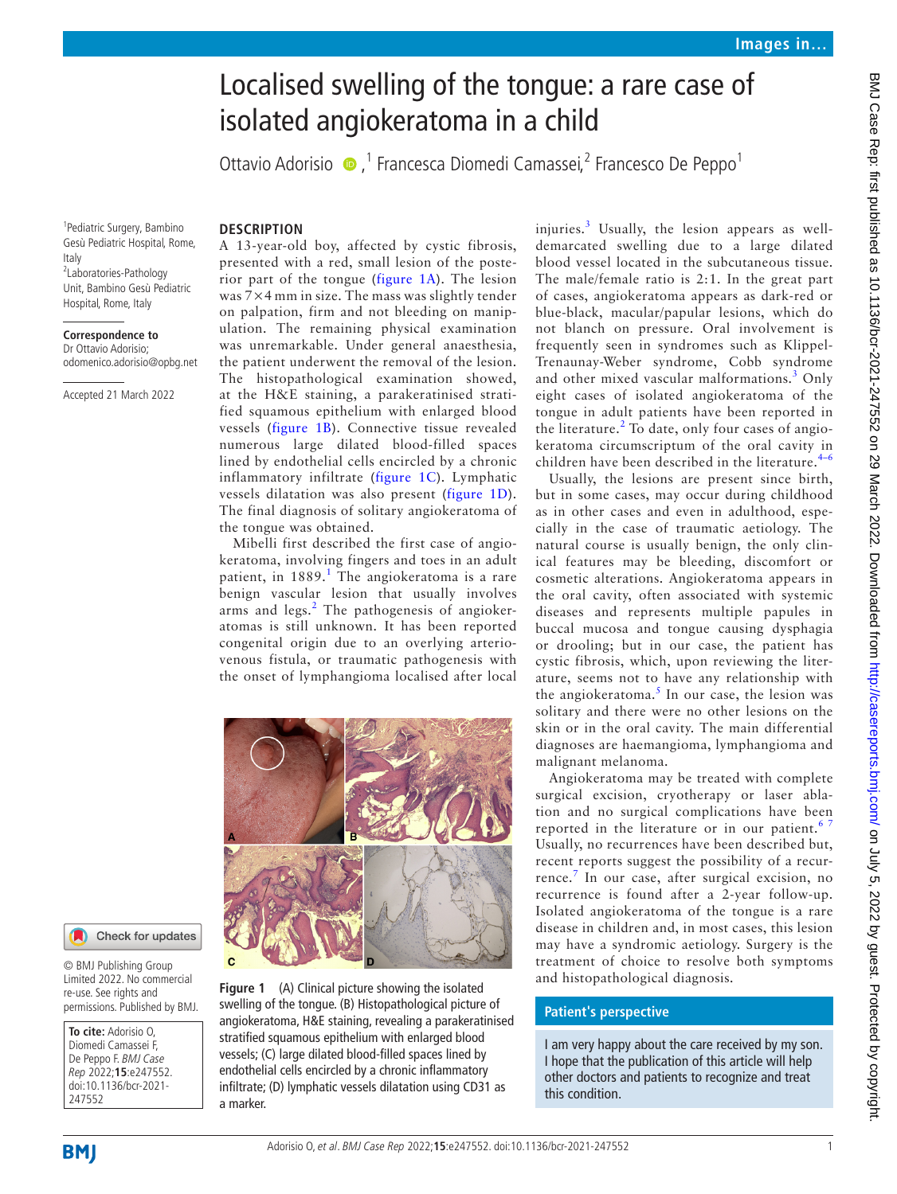# Localised swelling of the tongue: a rare case of isolated angiokeratoma in a child

OttavioAdorisio ●,<sup>1</sup> Francesca Diomedi Camassei,<sup>2</sup> Francesco De Peppo<sup>1</sup>

1 Pediatric Surgery, Bambino Gesù Pediatric Hospital, Rome, Italy 2 Laboratories-Pathology Unit, Bambino Gesù Pediatric Hospital, Rome, Italy

#### **Correspondence to** Dr Ottavio Adorisio; odomenico.adorisio@opbg.net

Accepted 21 March 2022

## **DESCRIPTION**

A 13-year-old boy, affected by cystic fibrosis, presented with a red, small lesion of the posterior part of the tongue ([figure](#page-0-0) 1A). The lesion was 7×4 mm in size. The mass was slightly tender on palpation, firm and not bleeding on manipulation. The remaining physical examination was unremarkable. Under general anaesthesia, the patient underwent the removal of the lesion. The histopathological examination showed, at the H&E staining, a parakeratinised stratified squamous epithelium with enlarged blood vessels ([figure](#page-0-0) 1B). Connective tissue revealed numerous large dilated blood-filled spaces lined by endothelial cells encircled by a chronic inflammatory infiltrate ([figure](#page-0-0) 1C). Lymphatic vessels dilatation was also present ([figure](#page-0-0) 1D). The final diagnosis of solitary angiokeratoma of the tongue was obtained.

Mibelli first described the first case of angiokeratoma, involving fingers and toes in an adult patient, in [1](#page-1-0)889.<sup>1</sup> The angiokeratoma is a rare benign vascular lesion that usually involves arms and legs.<sup>[2](#page-1-1)</sup> The pathogenesis of angiokeratomas is still unknown. It has been reported congenital origin due to an overlying arteriovenous fistula, or traumatic pathogenesis with the onset of lymphangioma localised after local



Check for updates

© BMJ Publishing Group Limited 2022. No commercial re-use. See rights and permissions. Published by BMJ.

**To cite:** Adorisio O, Diomedi Camassei F, De Peppo F. BMJ Case Rep 2022;**15**:e247552. doi:10.1136/bcr-2021- 247552

<span id="page-0-0"></span>**Figure 1** (A) Clinical picture showing the isolated swelling of the tongue. (B) Histopathological picture of angiokeratoma, H&E staining, revealing a parakeratinised stratified squamous epithelium with enlarged blood vessels; (C) large dilated blood-filled spaces lined by endothelial cells encircled by a chronic inflammatory infiltrate; (D) lymphatic vessels dilatation using CD31 as a marker.

injuries.<sup>[3](#page-1-2)</sup> Usually, the lesion appears as welldemarcated swelling due to a large dilated blood vessel located in the subcutaneous tissue. The male/female ratio is 2:1. In the great part of cases, angiokeratoma appears as dark-red or blue-black, macular/papular lesions, which do not blanch on pressure. Oral involvement is frequently seen in syndromes such as Klippel-Trenaunay-Weber syndrome, Cobb syndrome and other mixed vascular malformations.<sup>[3](#page-1-2)</sup> Only eight cases of isolated angiokeratoma of the tongue in adult patients have been reported in the literature.<sup>[2](#page-1-1)</sup> To date, only four cases of angiokeratoma circumscriptum of the oral cavity in children have been described in the literature. $4-6$ 

Usually, the lesions are present since birth, but in some cases, may occur during childhood as in other cases and even in adulthood, especially in the case of traumatic aetiology. The natural course is usually benign, the only clinical features may be bleeding, discomfort or cosmetic alterations. Angiokeratoma appears in the oral cavity, often associated with systemic diseases and represents multiple papules in buccal mucosa and tongue causing dysphagia or drooling; but in our case, the patient has cystic fibrosis, which, upon reviewing the literature, seems not to have any relationship with the angiokeratoma.<sup>[5](#page-1-4)</sup> In our case, the lesion was solitary and there were no other lesions on the skin or in the oral cavity. The main differential diagnoses are haemangioma, lymphangioma and malignant melanoma.

Angiokeratoma may be treated with complete surgical excision, cryotherapy or laser ablation and no surgical complications have been reported in the literature or in our patient.<sup>67</sup> Usually, no recurrences have been described but, recent reports suggest the possibility of a recur-rence.<sup>[7](#page-1-6)</sup> In our case, after surgical excision, no recurrence is found after a 2-year follow-up. Isolated angiokeratoma of the tongue is a rare disease in children and, in most cases, this lesion may have a syndromic aetiology. Surgery is the treatment of choice to resolve both symptoms and histopathological diagnosis.

## **Patient's perspective**

I am very happy about the care received by my son. I hope that the publication of this article will help other doctors and patients to recognize and treat this condition.